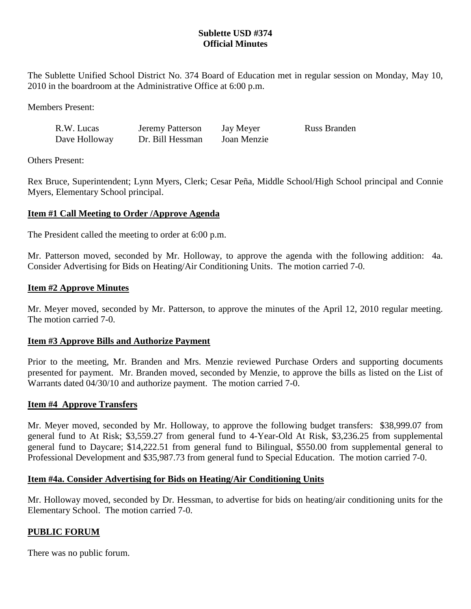# **Sublette USD #374 Official Minutes**

The Sublette Unified School District No. 374 Board of Education met in regular session on Monday, May 10, 2010 in the boardroom at the Administrative Office at 6:00 p.m.

Members Present:

| R.W. Lucas    | Jeremy Patterson | Jay Meyer   | <b>Russ Branden</b> |
|---------------|------------------|-------------|---------------------|
| Dave Holloway | Dr. Bill Hessman | Joan Menzie |                     |

Others Present:

Rex Bruce, Superintendent; Lynn Myers, Clerk; Cesar Peña, Middle School/High School principal and Connie Myers, Elementary School principal.

## **Item #1 Call Meeting to Order /Approve Agenda**

The President called the meeting to order at 6:00 p.m.

Mr. Patterson moved, seconded by Mr. Holloway, to approve the agenda with the following addition: 4a. Consider Advertising for Bids on Heating/Air Conditioning Units. The motion carried 7-0.

### **Item #2 Approve Minutes**

Mr. Meyer moved, seconded by Mr. Patterson, to approve the minutes of the April 12, 2010 regular meeting. The motion carried 7-0.

## **Item #3 Approve Bills and Authorize Payment**

Prior to the meeting, Mr. Branden and Mrs. Menzie reviewed Purchase Orders and supporting documents presented for payment. Mr. Branden moved, seconded by Menzie, to approve the bills as listed on the List of Warrants dated 04/30/10 and authorize payment. The motion carried 7-0.

### **Item #4 Approve Transfers**

Mr. Meyer moved, seconded by Mr. Holloway, to approve the following budget transfers: \$38,999.07 from general fund to At Risk; \$3,559.27 from general fund to 4-Year-Old At Risk, \$3,236.25 from supplemental general fund to Daycare; \$14,222.51 from general fund to Bilingual, \$550.00 from supplemental general to Professional Development and \$35,987.73 from general fund to Special Education. The motion carried 7-0.

### **Item #4a. Consider Advertising for Bids on Heating/Air Conditioning Units**

Mr. Holloway moved, seconded by Dr. Hessman, to advertise for bids on heating/air conditioning units for the Elementary School. The motion carried 7-0.

### **PUBLIC FORUM**

There was no public forum.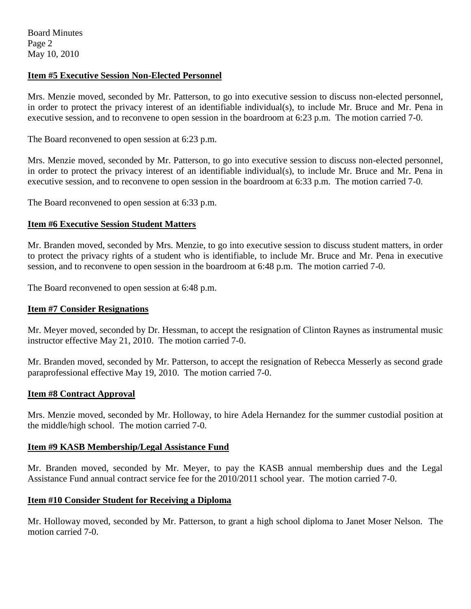### **Item #5 Executive Session Non-Elected Personnel**

Mrs. Menzie moved, seconded by Mr. Patterson, to go into executive session to discuss non-elected personnel, in order to protect the privacy interest of an identifiable individual(s), to include Mr. Bruce and Mr. Pena in executive session, and to reconvene to open session in the boardroom at 6:23 p.m. The motion carried 7-0.

The Board reconvened to open session at 6:23 p.m.

Mrs. Menzie moved, seconded by Mr. Patterson, to go into executive session to discuss non-elected personnel, in order to protect the privacy interest of an identifiable individual(s), to include Mr. Bruce and Mr. Pena in executive session, and to reconvene to open session in the boardroom at 6:33 p.m. The motion carried 7-0.

The Board reconvened to open session at 6:33 p.m.

### **Item #6 Executive Session Student Matters**

Mr. Branden moved, seconded by Mrs. Menzie, to go into executive session to discuss student matters, in order to protect the privacy rights of a student who is identifiable, to include Mr. Bruce and Mr. Pena in executive session, and to reconvene to open session in the boardroom at 6:48 p.m. The motion carried 7-0.

The Board reconvened to open session at 6:48 p.m.

### **Item #7 Consider Resignations**

Mr. Meyer moved, seconded by Dr. Hessman, to accept the resignation of Clinton Raynes as instrumental music instructor effective May 21, 2010. The motion carried 7-0.

Mr. Branden moved, seconded by Mr. Patterson, to accept the resignation of Rebecca Messerly as second grade paraprofessional effective May 19, 2010. The motion carried 7-0.

### **Item #8 Contract Approval**

Mrs. Menzie moved, seconded by Mr. Holloway, to hire Adela Hernandez for the summer custodial position at the middle/high school. The motion carried 7-0.

### **Item #9 KASB Membership/Legal Assistance Fund**

Mr. Branden moved, seconded by Mr. Meyer, to pay the KASB annual membership dues and the Legal Assistance Fund annual contract service fee for the 2010/2011 school year. The motion carried 7-0.

### **Item #10 Consider Student for Receiving a Diploma**

Mr. Holloway moved, seconded by Mr. Patterson, to grant a high school diploma to Janet Moser Nelson. The motion carried 7-0.